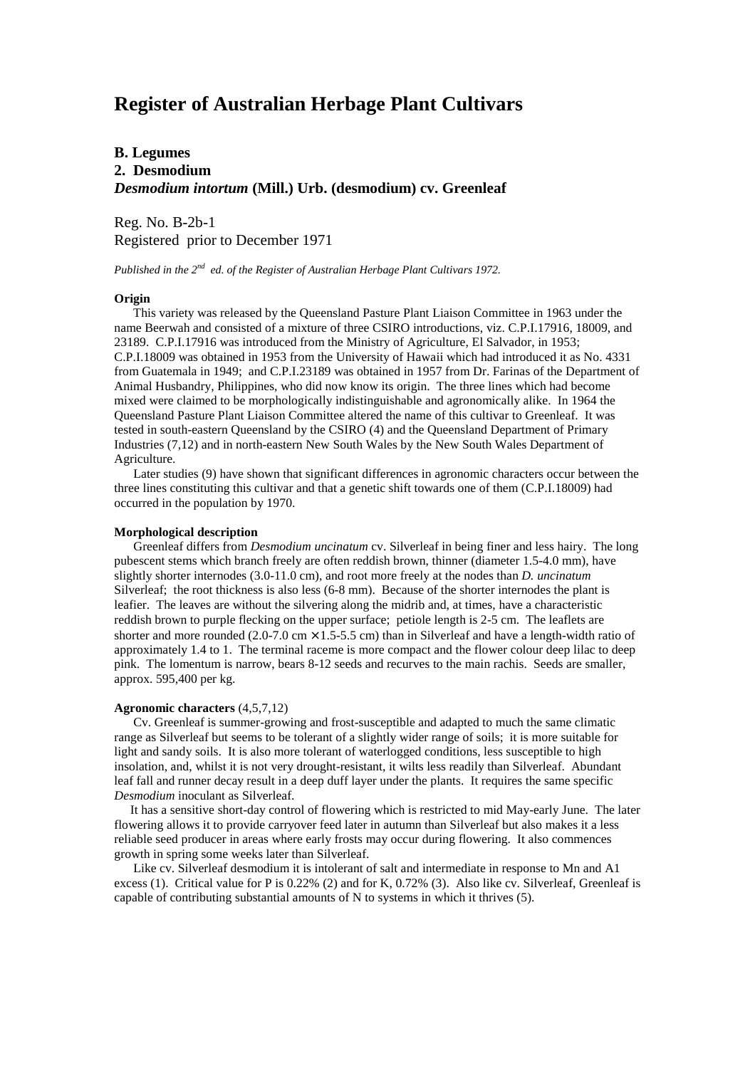# **Register of Australian Herbage Plant Cultivars**

# **B. Legumes 2. Desmodium** *Desmodium intortum* **(Mill.) Urb. (desmodium) cv. Greenleaf**

Reg. No. B-2b-1 Registered prior to December 1971

*Published in the 2nd ed. of the Register of Australian Herbage Plant Cultivars 1972.*

## **Origin**

 This variety was released by the Queensland Pasture Plant Liaison Committee in 1963 under the name Beerwah and consisted of a mixture of three CSIRO introductions, viz. C.P.I.17916, 18009, and 23189. C.P.I.17916 was introduced from the Ministry of Agriculture, El Salvador, in 1953; C.P.I.18009 was obtained in 1953 from the University of Hawaii which had introduced it as No. 4331 from Guatemala in 1949; and C.P.I.23189 was obtained in 1957 from Dr. Farinas of the Department of Animal Husbandry, Philippines, who did now know its origin. The three lines which had become mixed were claimed to be morphologically indistinguishable and agronomically alike. In 1964 the Queensland Pasture Plant Liaison Committee altered the name of this cultivar to Greenleaf. It was tested in south-eastern Queensland by the CSIRO (4) and the Queensland Department of Primary Industries (7,12) and in north-eastern New South Wales by the New South Wales Department of Agriculture.

 Later studies (9) have shown that significant differences in agronomic characters occur between the three lines constituting this cultivar and that a genetic shift towards one of them (C.P.I.18009) had occurred in the population by 1970.

#### **Morphological description**

 Greenleaf differs from *Desmodium uncinatum* cv. Silverleaf in being finer and less hairy. The long pubescent stems which branch freely are often reddish brown, thinner (diameter 1.5-4.0 mm), have slightly shorter internodes (3.0-11.0 cm), and root more freely at the nodes than *D. uncinatum* Silverleaf; the root thickness is also less (6-8 mm). Because of the shorter internodes the plant is leafier. The leaves are without the silvering along the midrib and, at times, have a characteristic reddish brown to purple flecking on the upper surface; petiole length is 2-5 cm. The leaflets are shorter and more rounded (2.0-7.0 cm  $\times$  1.5-5.5 cm) than in Silverleaf and have a length-width ratio of approximately 1.4 to 1. The terminal raceme is more compact and the flower colour deep lilac to deep pink. The lomentum is narrow, bears 8-12 seeds and recurves to the main rachis. Seeds are smaller, approx. 595,400 per kg.

#### **Agronomic characters** (4,5,7,12)

 Cv. Greenleaf is summer-growing and frost-susceptible and adapted to much the same climatic range as Silverleaf but seems to be tolerant of a slightly wider range of soils; it is more suitable for light and sandy soils. It is also more tolerant of waterlogged conditions, less susceptible to high insolation, and, whilst it is not very drought-resistant, it wilts less readily than Silverleaf. Abundant leaf fall and runner decay result in a deep duff layer under the plants. It requires the same specific *Desmodium* inoculant as Silverleaf.

 It has a sensitive short-day control of flowering which is restricted to mid May-early June. The later flowering allows it to provide carryover feed later in autumn than Silverleaf but also makes it a less reliable seed producer in areas where early frosts may occur during flowering. It also commences growth in spring some weeks later than Silverleaf.

 Like cv. Silverleaf desmodium it is intolerant of salt and intermediate in response to Mn and A1 excess (1). Critical value for P is 0.22% (2) and for K, 0.72% (3). Also like cv. Silverleaf, Greenleaf is capable of contributing substantial amounts of N to systems in which it thrives (5).